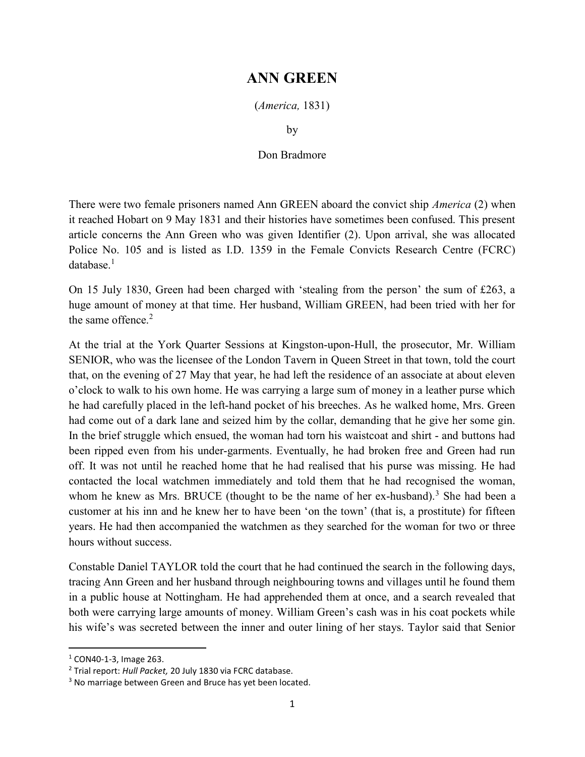## ANN GREEN

(America, 1831)

by

## Don Bradmore

There were two female prisoners named Ann GREEN aboard the convict ship *America* (2) when it reached Hobart on 9 May 1831 and their histories have sometimes been confused. This present article concerns the Ann Green who was given Identifier (2). Upon arrival, she was allocated Police No. 105 and is listed as I.D. 1359 in the Female Convicts Research Centre (FCRC)  $database.<sup>1</sup>$ 

On 15 July 1830, Green had been charged with 'stealing from the person' the sum of £263, a huge amount of money at that time. Her husband, William GREEN, had been tried with her for the same offence.<sup>2</sup>

At the trial at the York Quarter Sessions at Kingston-upon-Hull, the prosecutor, Mr. William SENIOR, who was the licensee of the London Tavern in Queen Street in that town, told the court that, on the evening of 27 May that year, he had left the residence of an associate at about eleven o'clock to walk to his own home. He was carrying a large sum of money in a leather purse which he had carefully placed in the left-hand pocket of his breeches. As he walked home, Mrs. Green had come out of a dark lane and seized him by the collar, demanding that he give her some gin. In the brief struggle which ensued, the woman had torn his waistcoat and shirt - and buttons had been ripped even from his under-garments. Eventually, he had broken free and Green had run off. It was not until he reached home that he had realised that his purse was missing. He had contacted the local watchmen immediately and told them that he had recognised the woman, whom he knew as Mrs. BRUCE (thought to be the name of her ex-husband).<sup>3</sup> She had been a customer at his inn and he knew her to have been 'on the town' (that is, a prostitute) for fifteen years. He had then accompanied the watchmen as they searched for the woman for two or three hours without success.

Constable Daniel TAYLOR told the court that he had continued the search in the following days, tracing Ann Green and her husband through neighbouring towns and villages until he found them in a public house at Nottingham. He had apprehended them at once, and a search revealed that both were carrying large amounts of money. William Green's cash was in his coat pockets while his wife's was secreted between the inner and outer lining of her stays. Taylor said that Senior

 $1$  CON40-1-3, Image 263.

<sup>&</sup>lt;sup>2</sup> Trial report: Hull Packet, 20 July 1830 via FCRC database.

<sup>&</sup>lt;sup>3</sup> No marriage between Green and Bruce has yet been located.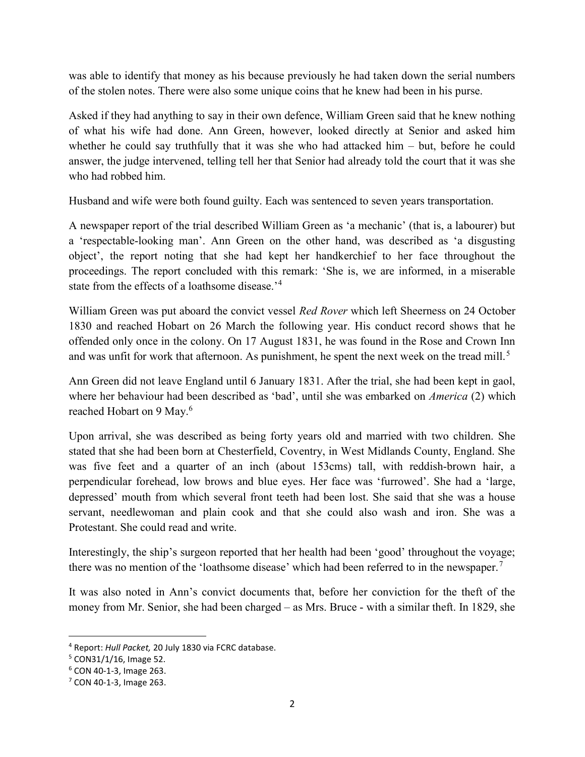was able to identify that money as his because previously he had taken down the serial numbers of the stolen notes. There were also some unique coins that he knew had been in his purse.

Asked if they had anything to say in their own defence, William Green said that he knew nothing of what his wife had done. Ann Green, however, looked directly at Senior and asked him whether he could say truthfully that it was she who had attacked him – but, before he could answer, the judge intervened, telling tell her that Senior had already told the court that it was she who had robbed him.

Husband and wife were both found guilty. Each was sentenced to seven years transportation.

A newspaper report of the trial described William Green as 'a mechanic' (that is, a labourer) but a 'respectable-looking man'. Ann Green on the other hand, was described as 'a disgusting object', the report noting that she had kept her handkerchief to her face throughout the proceedings. The report concluded with this remark: 'She is, we are informed, in a miserable state from the effects of a loathsome disease.<sup>'4</sup>

William Green was put aboard the convict vessel *Red Rover* which left Sheerness on 24 October 1830 and reached Hobart on 26 March the following year. His conduct record shows that he offended only once in the colony. On 17 August 1831, he was found in the Rose and Crown Inn and was unfit for work that afternoon. As punishment, he spent the next week on the tread mill.<sup>5</sup>

Ann Green did not leave England until 6 January 1831. After the trial, she had been kept in gaol, where her behaviour had been described as 'bad', until she was embarked on *America* (2) which reached Hobart on 9 May.<sup>6</sup>

Upon arrival, she was described as being forty years old and married with two children. She stated that she had been born at Chesterfield, Coventry, in West Midlands County, England. She was five feet and a quarter of an inch (about 153cms) tall, with reddish-brown hair, a perpendicular forehead, low brows and blue eyes. Her face was 'furrowed'. She had a 'large, depressed' mouth from which several front teeth had been lost. She said that she was a house servant, needlewoman and plain cook and that she could also wash and iron. She was a Protestant. She could read and write.

Interestingly, the ship's surgeon reported that her health had been 'good' throughout the voyage; there was no mention of the 'loathsome disease' which had been referred to in the newspaper.<sup>7</sup>

It was also noted in Ann's convict documents that, before her conviction for the theft of the money from Mr. Senior, she had been charged – as Mrs. Bruce - with a similar theft. In 1829, she

<sup>&</sup>lt;sup>4</sup> Report: Hull Packet, 20 July 1830 via FCRC database.

<sup>5</sup> CON31/1/16, Image 52.

<sup>6</sup> CON 40-1-3, Image 263.

 $7$  CON 40-1-3, Image 263.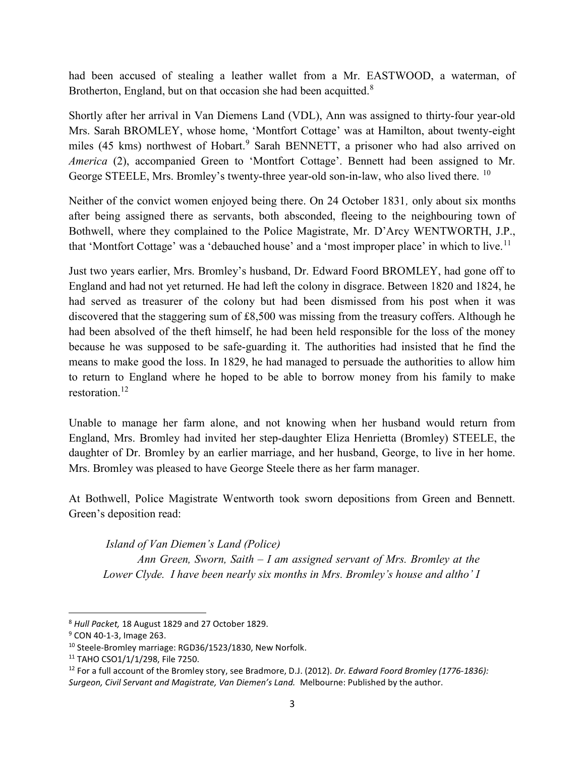had been accused of stealing a leather wallet from a Mr. EASTWOOD, a waterman, of Brotherton, England, but on that occasion she had been acquitted. $8$ 

Shortly after her arrival in Van Diemens Land (VDL), Ann was assigned to thirty-four year-old Mrs. Sarah BROMLEY, whose home, 'Montfort Cottage' was at Hamilton, about twenty-eight miles (45 kms) northwest of Hobart.<sup>9</sup> Sarah BENNETT, a prisoner who had also arrived on America (2), accompanied Green to 'Montfort Cottage'. Bennett had been assigned to Mr. George STEELE, Mrs. Bromley's twenty-three year-old son-in-law, who also lived there. <sup>10</sup>

Neither of the convict women enjoyed being there. On 24 October 1831, only about six months after being assigned there as servants, both absconded, fleeing to the neighbouring town of Bothwell, where they complained to the Police Magistrate, Mr. D'Arcy WENTWORTH, J.P., that 'Montfort Cottage' was a 'debauched house' and a 'most improper place' in which to live.<sup>11</sup>

Just two years earlier, Mrs. Bromley's husband, Dr. Edward Foord BROMLEY, had gone off to England and had not yet returned. He had left the colony in disgrace. Between 1820 and 1824, he had served as treasurer of the colony but had been dismissed from his post when it was discovered that the staggering sum of £8,500 was missing from the treasury coffers. Although he had been absolved of the theft himself, he had been held responsible for the loss of the money because he was supposed to be safe-guarding it. The authorities had insisted that he find the means to make good the loss. In 1829, he had managed to persuade the authorities to allow him to return to England where he hoped to be able to borrow money from his family to make restoration.<sup>12</sup>

Unable to manage her farm alone, and not knowing when her husband would return from England, Mrs. Bromley had invited her step-daughter Eliza Henrietta (Bromley) STEELE, the daughter of Dr. Bromley by an earlier marriage, and her husband, George, to live in her home. Mrs. Bromley was pleased to have George Steele there as her farm manager.

At Bothwell, Police Magistrate Wentworth took sworn depositions from Green and Bennett. Green's deposition read:

Island of Van Diemen's Land (Police)

Ann Green, Sworn, Saith  $-I$  am assigned servant of Mrs. Bromley at the Lower Clyde. I have been nearly six months in Mrs. Bromley's house and altho' I

<sup>8</sup> Hull Packet, 18 August 1829 and 27 October 1829.

<sup>&</sup>lt;sup>9</sup> CON 40-1-3, Image 263.

<sup>10</sup> Steele-Bromley marriage: RGD36/1523/1830, New Norfolk.

<sup>11</sup> TAHO CSO1/1/1/298, File 7250.

 $12$  For a full account of the Bromley story, see Bradmore, D.J. (2012). Dr. Edward Foord Bromley (1776-1836): Surgeon, Civil Servant and Magistrate, Van Diemen's Land. Melbourne: Published by the author.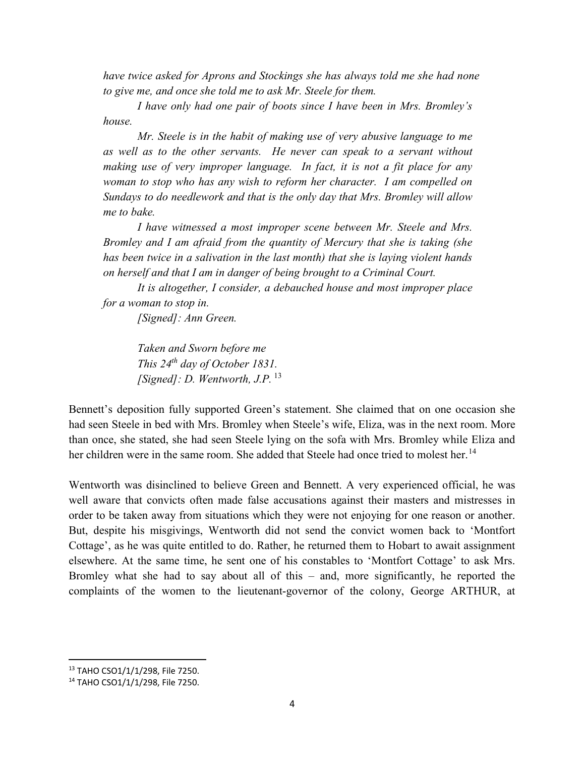have twice asked for Aprons and Stockings she has always told me she had none to give me, and once she told me to ask Mr. Steele for them.

I have only had one pair of boots since I have been in Mrs. Bromley's house.

Mr. Steele is in the habit of making use of very abusive language to me as well as to the other servants. He never can speak to a servant without making use of very improper language. In fact, it is not a fit place for any woman to stop who has any wish to reform her character. I am compelled on Sundays to do needlework and that is the only day that Mrs. Bromley will allow me to bake.

I have witnessed a most improper scene between Mr. Steele and Mrs. Bromley and I am afraid from the quantity of Mercury that she is taking (she has been twice in a salivation in the last month) that she is laying violent hands on herself and that I am in danger of being brought to a Criminal Court.

It is altogether, I consider, a debauched house and most improper place for a woman to stop in.

[Signed]: Ann Green.

Taken and Sworn before me This  $24^{th}$  day of October 1831. [Signed]: D. Wentworth, J.P.  $^{13}$ 

Bennett's deposition fully supported Green's statement. She claimed that on one occasion she had seen Steele in bed with Mrs. Bromley when Steele's wife, Eliza, was in the next room. More than once, she stated, she had seen Steele lying on the sofa with Mrs. Bromley while Eliza and her children were in the same room. She added that Steele had once tried to molest her.<sup>14</sup>

Wentworth was disinclined to believe Green and Bennett. A very experienced official, he was well aware that convicts often made false accusations against their masters and mistresses in order to be taken away from situations which they were not enjoying for one reason or another. But, despite his misgivings, Wentworth did not send the convict women back to 'Montfort Cottage', as he was quite entitled to do. Rather, he returned them to Hobart to await assignment elsewhere. At the same time, he sent one of his constables to 'Montfort Cottage' to ask Mrs. Bromley what she had to say about all of this – and, more significantly, he reported the complaints of the women to the lieutenant-governor of the colony, George ARTHUR, at

 $\overline{a}$ 

<sup>13</sup> TAHO CSO1/1/1/298, File 7250.

<sup>14</sup> TAHO CSO1/1/1/298, File 7250.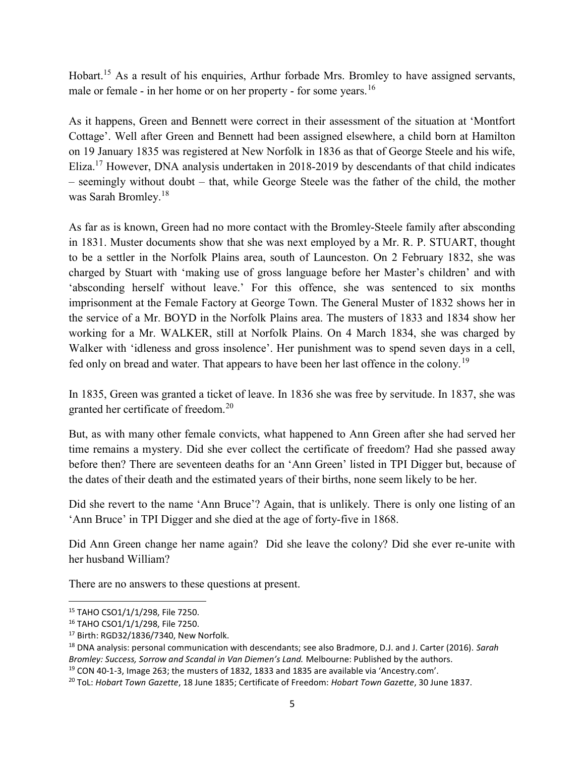Hobart.<sup>15</sup> As a result of his enquiries, Arthur forbade Mrs. Bromley to have assigned servants, male or female - in her home or on her property - for some years.<sup>16</sup>

As it happens, Green and Bennett were correct in their assessment of the situation at 'Montfort Cottage'. Well after Green and Bennett had been assigned elsewhere, a child born at Hamilton on 19 January 1835 was registered at New Norfolk in 1836 as that of George Steele and his wife, Eliza.<sup>17</sup> However, DNA analysis undertaken in 2018-2019 by descendants of that child indicates – seemingly without doubt – that, while George Steele was the father of the child, the mother was Sarah Bromley.<sup>18</sup>

As far as is known, Green had no more contact with the Bromley-Steele family after absconding in 1831. Muster documents show that she was next employed by a Mr. R. P. STUART, thought to be a settler in the Norfolk Plains area, south of Launceston. On 2 February 1832, she was charged by Stuart with 'making use of gross language before her Master's children' and with 'absconding herself without leave.' For this offence, she was sentenced to six months imprisonment at the Female Factory at George Town. The General Muster of 1832 shows her in the service of a Mr. BOYD in the Norfolk Plains area. The musters of 1833 and 1834 show her working for a Mr. WALKER, still at Norfolk Plains. On 4 March 1834, she was charged by Walker with 'idleness and gross insolence'. Her punishment was to spend seven days in a cell, fed only on bread and water. That appears to have been her last offence in the colony.<sup>19</sup>

In 1835, Green was granted a ticket of leave. In 1836 she was free by servitude. In 1837, she was granted her certificate of freedom.<sup>20</sup>

But, as with many other female convicts, what happened to Ann Green after she had served her time remains a mystery. Did she ever collect the certificate of freedom? Had she passed away before then? There are seventeen deaths for an 'Ann Green' listed in TPI Digger but, because of the dates of their death and the estimated years of their births, none seem likely to be her.

Did she revert to the name 'Ann Bruce'? Again, that is unlikely. There is only one listing of an 'Ann Bruce' in TPI Digger and she died at the age of forty-five in 1868.

Did Ann Green change her name again? Did she leave the colony? Did she ever re-unite with her husband William?

There are no answers to these questions at present.

 $\overline{a}$ 

<sup>15</sup> TAHO CSO1/1/1/298, File 7250.

<sup>16</sup> TAHO CSO1/1/1/298, File 7250.

<sup>17</sup> Birth: RGD32/1836/7340, New Norfolk.

<sup>&</sup>lt;sup>18</sup> DNA analysis: personal communication with descendants; see also Bradmore, D.J. and J. Carter (2016). Sarah Bromley: Success, Sorrow and Scandal in Van Diemen's Land. Melbourne: Published by the authors.

<sup>19</sup> CON 40-1-3, Image 263; the musters of 1832, 1833 and 1835 are available via 'Ancestry.com'.

<sup>&</sup>lt;sup>20</sup> ToL: Hobart Town Gazette, 18 June 1835; Certificate of Freedom: Hobart Town Gazette, 30 June 1837.